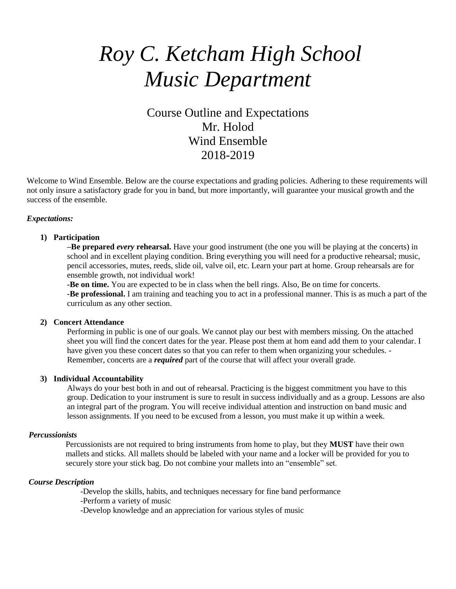# *Roy C. Ketcham High School Music Department*

## Course Outline and Expectations Mr. Holod Wind Ensemble 2018-2019

Welcome to Wind Ensemble. Below are the course expectations and grading policies. Adhering to these requirements will not only insure a satisfactory grade for you in band, but more importantly, will guarantee your musical growth and the success of the ensemble.

#### *Expectations:*

#### **1) Participation**

**–Be prepared** *every* **rehearsal.** Have your good instrument (the one you will be playing at the concerts) in school and in excellent playing condition. Bring everything you will need for a productive rehearsal; music, pencil accessories, mutes, reeds, slide oil, valve oil, etc. Learn your part at home. Group rehearsals are for ensemble growth, not individual work!

**-Be on time.** You are expected to be in class when the bell rings. Also, Be on time for concerts. **-Be professional.** I am training and teaching you to act in a professional manner. This is as much a part of the curriculum as any other section.

#### **2) Concert Attendance**

Performing in public is one of our goals. We cannot play our best with members missing. On the attached sheet you will find the concert dates for the year. Please post them at hom eand add them to your calendar. I have given you these concert dates so that you can refer to them when organizing your schedules. - Remember, concerts are a *required* part of the course that will affect your overall grade.

#### **3) Individual Accountability**

Always do your best both in and out of rehearsal. Practicing is the biggest commitment you have to this group. Dedication to your instrument is sure to result in success individually and as a group. Lessons are also an integral part of the program. You will receive individual attention and instruction on band music and lesson assignments. If you need to be excused from a lesson, you must make it up within a week.

#### *Percussionists*

Percussionists are not required to bring instruments from home to play, but they **MUST** have their own mallets and sticks. All mallets should be labeled with your name and a locker will be provided for you to securely store your stick bag. Do not combine your mallets into an "ensemble" set.

#### *Course Description*

-Develop the skills, habits, and techniques necessary for fine band performance -Perform a variety of music

-Develop knowledge and an appreciation for various styles of music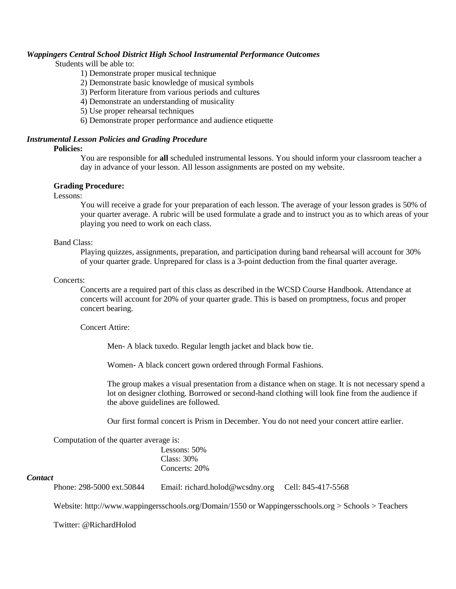#### *Wappingers Central School District High School Instrumental Performance Outcomes*

Students will be able to:

#### 1) Demonstrate proper musical technique

- 2) Demonstrate basic knowledge of musical symbols
- 3) Perform literature from various periods and cultures
- 4) Demonstrate an understanding of musicality
- 5) Use proper rehearsal techniques
- 6) Demonstrate proper performance and audience etiquette

#### *Instrumental Lesson Policies and Grading Procedure*

#### **Policies:**

You are responsible for **all** scheduled instrumental lessons. You should inform your classroom teacher a day in advance of your lesson. All lesson assignments are posted on my website.

#### **Grading Procedure:**

Lessons:

You will receive a grade for your preparation of each lesson. The average of your lesson grades is 50% of your quarter average. A rubric will be used formulate a grade and to instruct you as to which areas of your playing you need to work on each class.

#### Band Class:

Playing quizzes, assignments, preparation, and participation during band rehearsal will account for 30% of your quarter grade. Unprepared for class is a 3-point deduction from the final quarter average.

#### Concerts:

Concerts are a required part of this class as described in the WCSD Course Handbook. Attendance at concerts will account for 20% of your quarter grade. This is based on promptness, focus and proper concert bearing.

#### Concert Attire:

Men- A black tuxedo. Regular length jacket and black bow tie.

Women- A black concert gown ordered through Formal Fashions.

The group makes a visual presentation from a distance when on stage. It is not necessary spend a lot on designer clothing. Borrowed or second-hand clothing will look fine from the audience if the above guidelines are followed.

Our first formal concert is Prism in December. You do not need your concert attire earlier.

Computation of the quarter average is:

Lessons: 50% Class: 30% Concerts: 20%

#### *Contact*

Phone: 298-5000 ext.50844 Email: [richard.holod@wcsdny.org](mailto:richard.holod@wcsdny.org) Cell: 845-417-5568

Website: [http://www.wappingersschools.org/Domain/1550 or Wappingersschools.org](http://www.wappingersschools.org/Domain/1550%20or%20Wappingersschools.org) > Schools > Teachers

Twitter: @RichardHolod